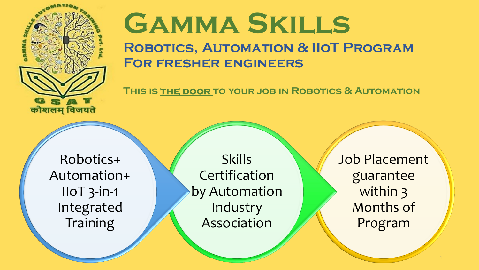

# **Gamma Skills**

#### **Robotics, Automation & IIoT Program For fresher engineers**

**This is the door to your job in Robotics & Automation**

Robotics+ Automation+ IIoT 3-in-1 Integrated **Training** 

Skills Certification by Automation Industry Association

Job Placement guarantee within 3 Months of Program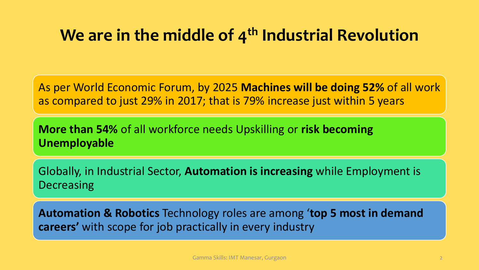### **We are in the middle of 4th Industrial Revolution**

As per World Economic Forum, by 2025 **Machines will be doing 52%** of all work as compared to just 29% in 2017; that is 79% increase just within 5 years

**More than 54%** of all workforce needs Upskilling or **risk becoming Unemployable**

Globally, in Industrial Sector, **Automation is increasing** while Employment is **Decreasing** 

**Automation & Robotics** Technology roles are among '**top 5 most in demand careers'** with scope for job practically in every industry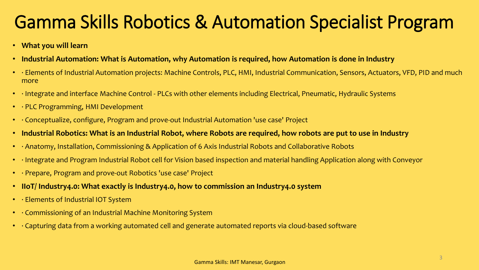### Gamma Skills Robotics & Automation Specialist Program

- **What you will learn**
- **Industrial Automation: What is Automation, why Automation is required, how Automation is done in Industry**
- · Elements of Industrial Automation projects: Machine Controls, PLC, HMI, Industrial Communication, Sensors, Actuators, VFD, PID and much more
- · Integrate and interface Machine Control PLCs with other elements including Electrical, Pneumatic, Hydraulic Systems
- · PLC Programming, HMI Development
- · Conceptualize, configure, Program and prove-out Industrial Automation 'use case' Project
- **Industrial Robotics: What is an Industrial Robot, where Robots are required, how robots are put to use in Industry**
- · Anatomy, Installation, Commissioning & Application of 6 Axis Industrial Robots and Collaborative Robots
- · Integrate and Program Industrial Robot cell for Vision based inspection and material handling Application along with Conveyor
- · Prepare, Program and prove-out Robotics 'use case' Project
- **IIoT/ Industry4.0: What exactly is Industry4.0, how to commission an Industry4.0 system**
- · Elements of Industrial IOT System
- · Commissioning of an Industrial Machine Monitoring System
- · Capturing data from a working automated cell and generate automated reports via cloud-based software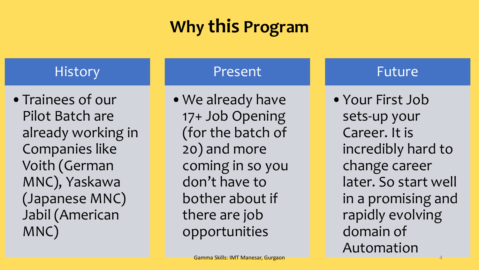## **Why this Program**

### **History**

•Trainees of our Pilot Batch are already working in Companies like Voith (German MNC), Yaskawa (Japanese MNC) Jabil (American MNC)

#### Present

•We already have 17+ Job Opening (for the batch of 20) and more coming in so you don't have to bother about if there are job opportunities

#### Future

•Your First Job sets-up your Career. It is incredibly hard to change career later. So start well in a promising and rapidly evolving domain of Automation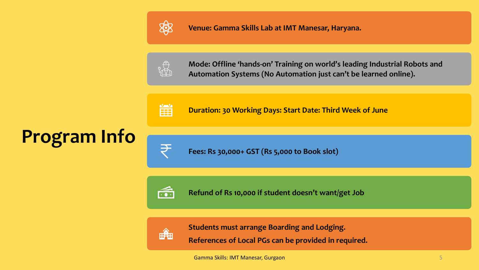

**Venue: Gamma Skills Lab at IMT Manesar, Haryana.**



**Mode: Offline 'hands-on' Training on world's leading Industrial Robots and Automation Systems (No Automation just can't be learned online).** 



**Duration: 30 Working Days: Start Date: Third Week of June**



**Program Info**

**Fees: Rs 30,000+ GST (Rs 5,000 to Book slot)**



**Refund of Rs 10,000 if student doesn't want/get Job**



**Students must arrange Boarding and Lodging.** 

**References of Local PGs can be provided in required.**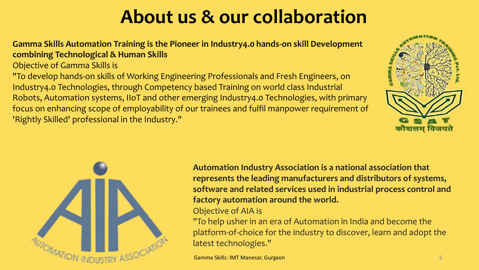## **About us & our collaboration**

**Gamma Skills Automation Training is the Pioneer in Industry4.0 hands-on skill Development combining Technological & Human Skills**

Objective of Gamma Skills is

"To develop hands-on skills of Working Engineering Professionals and Fresh Engineers, on Industry4.0 Technologies, through Competency based Training on world class Industrial Robots, Automation systems, IIoT and other emerging Industry4.0 Technologies, with primary focus on enhancing scope of employability of our trainees and fulfil manpower requirement of 'Rightly Skilled' professional in the Industry."





**Automation Industry Association is a national association that represents the leading manufacturers and distributors of systems, software and related services used in industrial process control and factory automation around the world.** 

#### Objective of AIA is

"To help usher in an era of Automation in India and become the platform-of-choice for the industry to discover, learn and adopt the latest technologies."